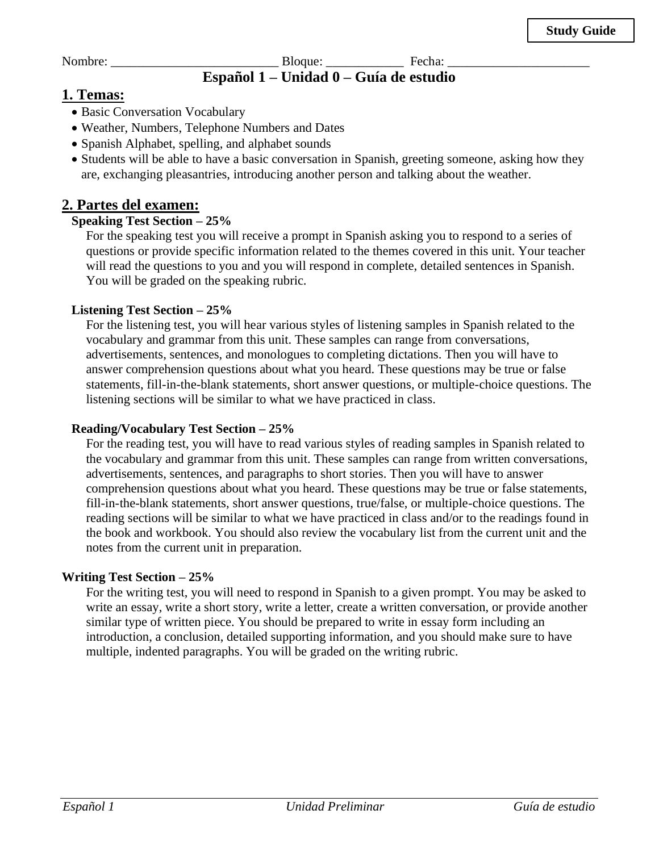Nombre: \_\_\_\_\_\_\_\_\_\_\_\_\_\_\_\_\_\_\_\_\_\_\_\_\_\_ Bloque: \_\_\_\_\_\_\_\_\_\_\_\_ Fecha: \_\_\_\_\_\_\_\_\_\_\_\_\_\_\_\_\_\_\_\_\_\_

## **Español 1 – Unidad 0 – Guía de estudio**

### **1. Temas:**

- Basic Conversation Vocabulary
- Weather, Numbers, Telephone Numbers and Dates
- Spanish Alphabet, spelling, and alphabet sounds
- Students will be able to have a basic conversation in Spanish, greeting someone, asking how they are, exchanging pleasantries, introducing another person and talking about the weather.

## **2. Partes del examen:**

#### **Speaking Test Section – 25%**

For the speaking test you will receive a prompt in Spanish asking you to respond to a series of questions or provide specific information related to the themes covered in this unit. Your teacher will read the questions to you and you will respond in complete, detailed sentences in Spanish. You will be graded on the speaking rubric.

#### **Listening Test Section – 25%**

For the listening test, you will hear various styles of listening samples in Spanish related to the vocabulary and grammar from this unit. These samples can range from conversations, advertisements, sentences, and monologues to completing dictations. Then you will have to answer comprehension questions about what you heard. These questions may be true or false statements, fill-in-the-blank statements, short answer questions, or multiple-choice questions. The listening sections will be similar to what we have practiced in class.

#### **Reading/Vocabulary Test Section – 25%**

For the reading test, you will have to read various styles of reading samples in Spanish related to the vocabulary and grammar from this unit. These samples can range from written conversations, advertisements, sentences, and paragraphs to short stories. Then you will have to answer comprehension questions about what you heard. These questions may be true or false statements, fill-in-the-blank statements, short answer questions, true/false, or multiple-choice questions. The reading sections will be similar to what we have practiced in class and/or to the readings found in the book and workbook. You should also review the vocabulary list from the current unit and the notes from the current unit in preparation.

#### **Writing Test Section – 25%**

For the writing test, you will need to respond in Spanish to a given prompt. You may be asked to write an essay, write a short story, write a letter, create a written conversation, or provide another similar type of written piece. You should be prepared to write in essay form including an introduction, a conclusion, detailed supporting information, and you should make sure to have multiple, indented paragraphs. You will be graded on the writing rubric.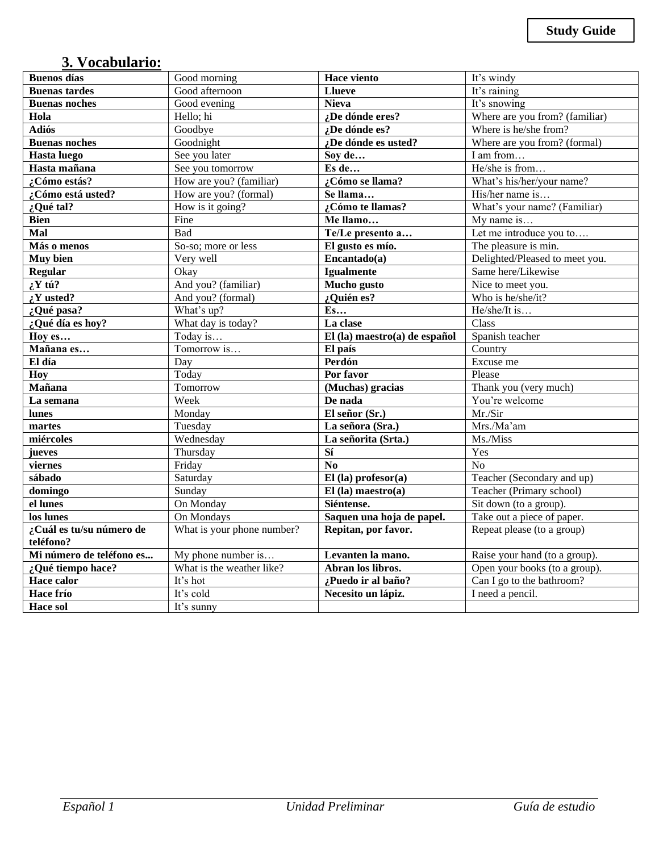# **3. Vocabulario:**

| <b>Buenos</b> días       | Good morning               | <b>Hace viento</b>            | It's windy                     |
|--------------------------|----------------------------|-------------------------------|--------------------------------|
| <b>Buenas tardes</b>     | Good afternoon             | <b>Llueve</b>                 | It's raining                   |
| <b>Buenas noches</b>     | Good evening               | <b>Nieva</b>                  | It's snowing                   |
| Hola                     | Hello; hi                  | ¿De dónde eres?               | Where are you from? (familiar) |
| <b>Adiós</b>             | Goodbye                    | ¿De dónde es?                 | Where is he/she from?          |
| <b>Buenas</b> noches     | Goodnight                  | ¿De dónde es usted?           | Where are you from? (formal)   |
| Hasta luego              | See you later              | Sov de                        | I am from                      |
| Hasta mañana             | See you tomorrow           | Es de                         | He/she is from                 |
| ¿Cómo estás?             | How are you? (familiar)    | ¿Cómo se llama?               | What's his/her/your name?      |
| ¿Cómo está usted?        | How are you? (formal)      | Se llama                      | His/her name is                |
| ¿Qué tal?                | How is it going?           | ¿Cómo te llamas?              | What's your name? (Familiar)   |
| <b>Bien</b>              | Fine                       | Me llamo                      | My name is                     |
| Mal                      | <b>Bad</b>                 | Te/Le presento a              | Let me introduce you to        |
| Más o menos              | So-so; more or less        | El gusto es mío.              | The pleasure is min.           |
| Muy bien                 | Very well                  | Encantado(a)                  | Delighted/Pleased to meet you. |
| <b>Regular</b>           | Okay                       | <b>Igualmente</b>             | Same here/Likewise             |
| $iY \text{ tú?}$         | And you? (familiar)        | Mucho gusto                   | Nice to meet you.              |
| $\zeta Y$ usted?         | And you? (formal)          | ¿Quién es?                    | Who is he/she/it?              |
| ¿Qué pasa?               | What's up?                 | $E$ s                         | He/she/It is                   |
| ¿Qué día es hoy?         | What day is today?         | La clase                      | Class                          |
| Hoy es                   | Today is                   | El (la) maestro(a) de español | Spanish teacher                |
| Mañana es                | Tomorrow is                | El país                       | Country                        |
| El día                   | Day                        | Perdón                        | Excuse me                      |
| Hoy                      | Today                      | Por favor                     | Please                         |
| Mañana                   | Tomorrow                   | (Muchas) gracias              | Thank you (very much)          |
| La semana                | Week                       | De nada                       | You're welcome                 |
| lunes                    | Monday                     | El señor (Sr.)                | Mr./Sir                        |
| martes                   | Tuesday                    | La señora (Sra.)              | Mrs./Ma'am                     |
| miércoles                | Wednesday                  | La señorita (Srta.)           | Ms./Miss                       |
| jueves                   | Thursday                   | Sí                            | Yes                            |
| viernes                  | Friday                     | No                            | N <sub>o</sub>                 |
| sábado                   | Saturday                   | $El$ (la) profesor(a)         | Teacher (Secondary and up)     |
| domingo                  | Sunday                     | $El$ (la) maestro(a)          | Teacher (Primary school)       |
| el lunes                 | On Monday                  | Siéntense.                    | Sit down (to a group).         |
| los lunes                | On Mondays                 | Saquen una hoja de papel.     | Take out a piece of paper.     |
| ¿Cuál es tu/su número de | What is your phone number? | Repitan, por favor.           | Repeat please (to a group)     |
| teléfono?                |                            |                               |                                |
| Mi número de teléfono es | My phone number is         | Levanten la mano.             | Raise your hand (to a group).  |
| ¿Qué tiempo hace?        | What is the weather like?  | Abran los libros.             | Open your books (to a group).  |
| <b>Hace calor</b>        | It's hot                   | ¿Puedo ir al baño?            | Can I go to the bathroom?      |
| Hace frío                | It's cold                  | Necesito un lápiz.            | I need a pencil.               |
| <b>Hace sol</b>          | It's sunny                 |                               |                                |